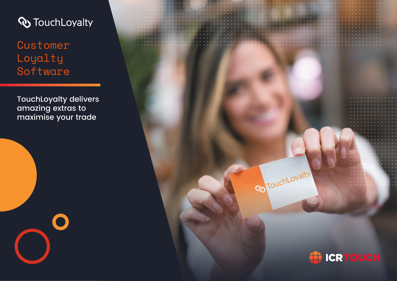

**Customer** Loyalty Software

TouchLoyalty delivers amazing extras to maximise your trade



**Reprint Ovalty** 

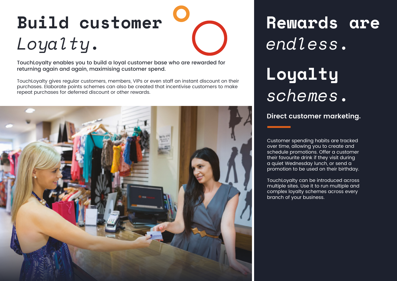# **Build customer** *Loyalty***.**

TouchLoyalty enables you to build a loyal customer base who are rewarded for returning again and again, maximising customer spend.

TouchLoyalty gives regular customers, members, VIPs or even staff an instant discount on their purchases. Elaborate points schemes can also be created that incentivise customers to make repeat purchases for deferred discount or other rewards.



# **Rewards are**  *endless***. Loyalty**  *schemes***.**

#### **Direct customer marketing.**

Customer spending habits are tracked over time, allowing you to create and schedule promotions. Offer a customer their favourite drink if they visit during a quiet Wednesday lunch, or send a promotion to be used on their birthday.

TouchLoyalty can be introduced across multiple sites. Use it to run multiple and complex loyalty schemes across every branch of your business.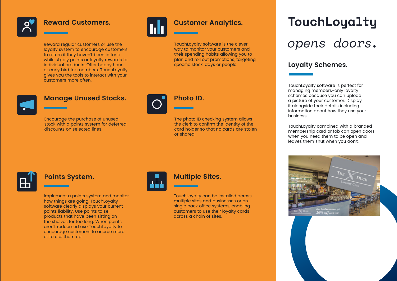#### **Reward Customers.**

Reward regular customers or use the loyalty system to encourage customers to return if they haven't been in for a while. Apply points or loyalty rewards to individual products. Offer happy hour or early bird for members. TouchLoyalty gives you the tools to interact with your customers more often.



### **Customer Analytics.**

TouchLoyalty software is the clever their spending habits allowing you to plan and roll out promotions, targeting specific stock, days or people.

### **Manage Unused Stocks.**

Encourage the purchase of unused stock with a points system for deferred discounts on selected lines.



### **Photo ID.**

The photo ID checking system allows the clerk to confirm the identity of the card holder so that no cards are stolen or shared.

### **Points System.**

Implement a points system and monitor how things are going, TouchLoyalty software clearly displays your current points liability. Use points to sell products that have been sitting on the shelves for too long. When points aren't redeemed use TouchLoyalty to encourage customers to accrue more or to use them up.



#### **Multiple Sites.**

TouchLoyalty can be installed across multiple sites and businesses or on single back office systems, enabling customers to use their loyalty cards across a chain of sites.

# **TouchLoyalty**  opens doors.

#### **Loyalty Schemes.**

TouchLoyalty software is perfect for managing members-only loyalty schemes because you can upload a picture of your customer. Display it alongside their details including information about how they use your business.

TouchLoyalty combined with a branded membership card or fob can open doors when you need them to be open and leaves them shut when you don't.